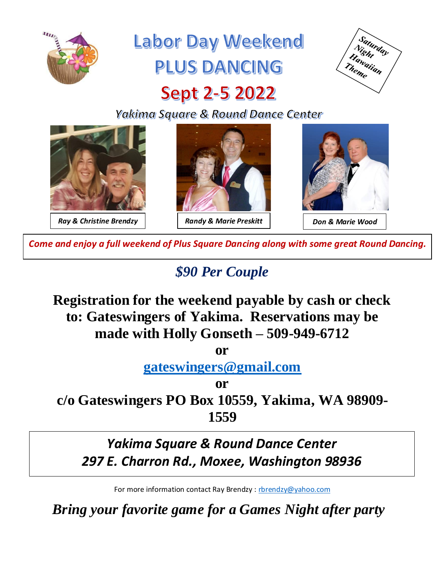

# **Labor Day Weekend** PLUS DANCING



# **Sept 2-5 2022**

Yakima Square & Round Dance Center



*Come and enjoy a full weekend of Plus Square Dancing along with some great Round Dancing.*

## *\$90 Per Couple*

**Registration for the weekend payable by cash or check to: Gateswingers of Yakima. Reservations may be made with Holly Gonseth – 509-949-6712**

**or** 

**[gateswingers@gmail.com](mailto:gateswingers@gmail.com)**

**or c/o Gateswingers PO Box 10559, Yakima, WA 98909- 1559**

### *Yakima Square & Round Dance Center 297 E. Charron Rd., Moxee, Washington 98936*

For more information contact Ray Brendzy :<rbrendzy@yahoo.com>

*Bring your favorite game for a Games Night after party*